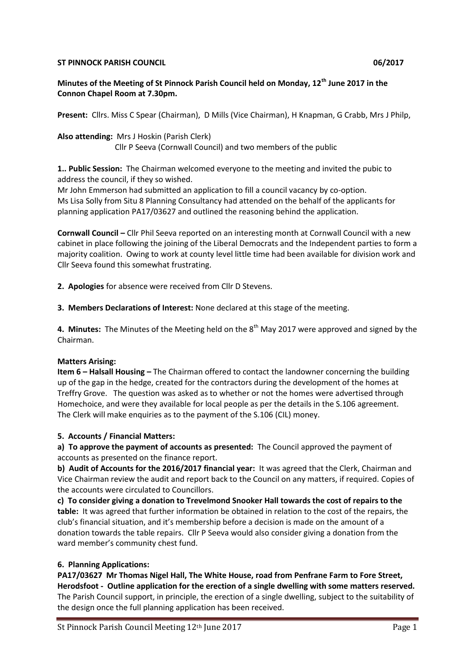#### **ST PINNOCK PARISH COUNCIL DESCRIPTION OF A SET PINNOCK PARISH COUNCIL**

**Minutes of the Meeting of St Pinnock Parish Council held on Monday, 12th June 2017 in the Connon Chapel Room at 7.30pm.**

**Present:** Cllrs. Miss C Spear (Chairman), D Mills (Vice Chairman), H Knapman, G Crabb, Mrs J Philp,

**Also attending:** Mrs J Hoskin (Parish Clerk) Cllr P Seeva (Cornwall Council) and two members of the public

**1.. Public Session:** The Chairman welcomed everyone to the meeting and invited the pubic to address the council, if they so wished.

Mr John Emmerson had submitted an application to fill a council vacancy by co-option. Ms Lisa Solly from Situ 8 Planning Consultancy had attended on the behalf of the applicants for planning application PA17/03627 and outlined the reasoning behind the application.

**Cornwall Council –** Cllr Phil Seeva reported on an interesting month at Cornwall Council with a new cabinet in place following the joining of the Liberal Democrats and the Independent parties to form a majority coalition. Owing to work at county level little time had been available for division work and Cllr Seeva found this somewhat frustrating.

**2. Apologies** for absence were received from Cllr D Stevens.

**3. Members Declarations of Interest:** None declared at this stage of the meeting.

**4. Minutes:** The Minutes of the Meeting held on the 8<sup>th</sup> May 2017 were approved and signed by the Chairman.

#### **Matters Arising:**

**Item 6 – Halsall Housing –** The Chairman offered to contact the landowner concerning the building up of the gap in the hedge, created for the contractors during the development of the homes at Treffry Grove. The question was asked as to whether or not the homes were advertised through Homechoice, and were they available for local people as per the details in the S.106 agreement. The Clerk will make enquiries as to the payment of the S.106 (CIL) money.

## **5. Accounts / Financial Matters:**

**a) To approve the payment of accounts as presented:** The Council approved the payment of accounts as presented on the finance report.

**b) Audit of Accounts for the 2016/2017 financial year:** It was agreed that the Clerk, Chairman and Vice Chairman review the audit and report back to the Council on any matters, if required. Copies of the accounts were circulated to Councillors.

**c) To consider giving a donation to Trevelmond Snooker Hall towards the cost of repairs to the table:** It was agreed that further information be obtained in relation to the cost of the repairs, the club's financial situation, and it's membership before a decision is made on the amount of a donation towards the table repairs. Cllr P Seeva would also consider giving a donation from the ward member's community chest fund.

## **6. Planning Applications:**

**PA17/03627 Mr Thomas Nigel Hall, The White House, road from Penfrane Farm to Fore Street, Herodsfoot - Outline application for the erection of a single dwelling with some matters reserved.** The Parish Council support, in principle, the erection of a single dwelling, subject to the suitability of the design once the full planning application has been received.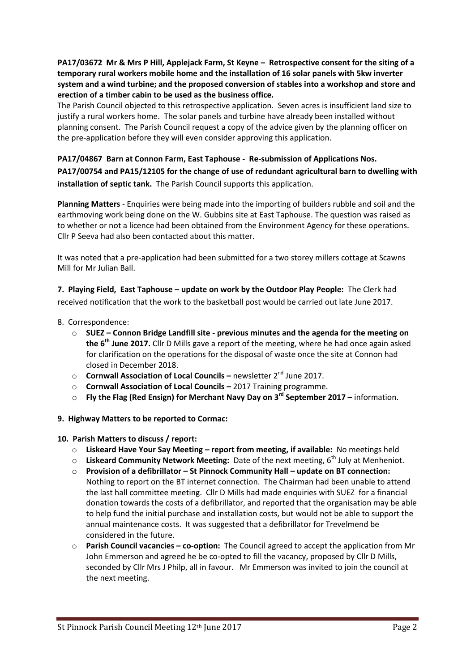**PA17/03672 Mr & Mrs P Hill, Applejack Farm, St Keyne – Retrospective consent for the siting of a temporary rural workers mobile home and the installation of 16 solar panels with 5kw inverter system and a wind turbine; and the proposed conversion of stables into a workshop and store and erection of a timber cabin to be used as the business office.**

The Parish Council objected to this retrospective application. Seven acres is insufficient land size to justify a rural workers home. The solar panels and turbine have already been installed without planning consent. The Parish Council request a copy of the advice given by the planning officer on the pre-application before they will even consider approving this application.

# **PA17/04867 Barn at Connon Farm, East Taphouse - [Re-submission of Applications Nos.](http://planning.cornwall.gov.uk/online-applications/applicationDetails.do?activeTab=summary&keyVal=OQCVU6FG1OU00&prevPage=inTray)  [PA17/00754 and PA15/12105 for the change of use of redundant agricultural barn to dwelling with](http://planning.cornwall.gov.uk/online-applications/applicationDetails.do?activeTab=summary&keyVal=OQCVU6FG1OU00&prevPage=inTray)  [installation of septic tank.](http://planning.cornwall.gov.uk/online-applications/applicationDetails.do?activeTab=summary&keyVal=OQCVU6FG1OU00&prevPage=inTray)** The Parish Council supports this application.

**Planning Matters** - Enquiries were being made into the importing of builders rubble and soil and the earthmoving work being done on the W. Gubbins site at East Taphouse. The question was raised as to whether or not a licence had been obtained from the Environment Agency for these operations. Cllr P Seeva had also been contacted about this matter.

It was noted that a pre-application had been submitted for a two storey millers cottage at Scawns Mill for Mr Julian Ball.

**7. Playing Field, East Taphouse – update on work by the Outdoor Play People:** The Clerk had received notification that the work to the basketball post would be carried out late June 2017.

- 8. Correspondence:
	- o **SUEZ – Connon Bridge Landfill site - previous minutes and the agenda for the meeting on the 6th June 2017.** Cllr D Mills gave a report of the meeting, where he had once again asked for clarification on the operations for the disposal of waste once the site at Connon had closed in December 2018.
	- o **Cornwall Association of Local Councils –** newsletter 2nd June 2017.
	- o **Cornwall Association of Local Councils –** 2017 Training programme.
	- o **Fly the Flag (Red Ensign) for Merchant Navy Day on 3rd September 2017 –** information.
- **9. Highway Matters to be reported to Cormac:**
- **10. Parish Matters to discuss / report:**
	- o **Liskeard Have Your Say Meeting – report from meeting, if available:** No meetings held
	- o **Liskeard Community Network Meeting:** Date of the next meeting, 6th July at Menheniot.
	- o **Provision of a defibrillator – St Pinnock Community Hall – update on BT connection:**  Nothing to report on the BT internet connection. The Chairman had been unable to attend the last hall committee meeting. Cllr D Mills had made enquiries with SUEZ for a financial donation towards the costs of a defibrillator, and reported that the organisation may be able to help fund the initial purchase and installation costs, but would not be able to support the annual maintenance costs. It was suggested that a defibrillator for Trevelmend be considered in the future.
	- o **Parish Council vacancies – co-option:** The Council agreed to accept the application from Mr John Emmerson and agreed he be co-opted to fill the vacancy, proposed by Cllr D Mills, seconded by Cllr Mrs J Philp, all in favour. Mr Emmerson was invited to join the council at the next meeting.